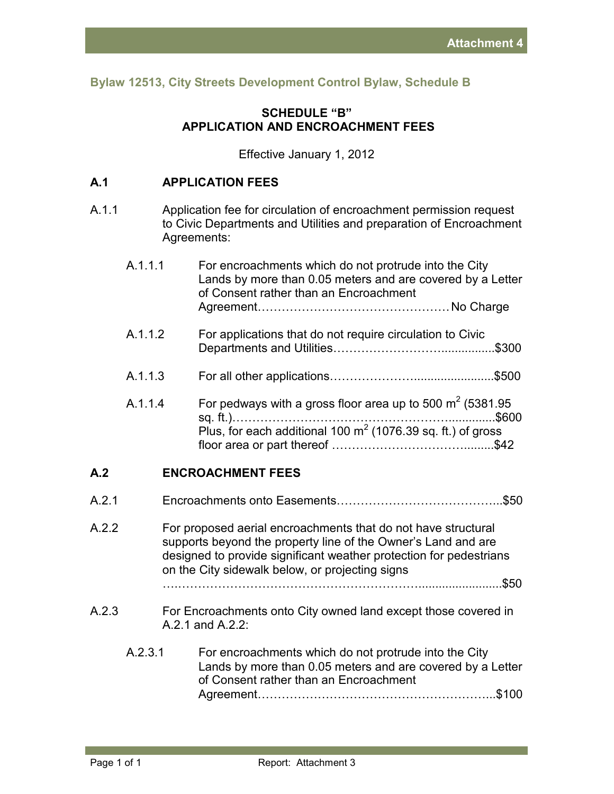**Bylaw 12513, City Streets Development Control Bylaw, Schedule B** 

## **SCHEDULE "B" APPLICATION AND ENCROACHMENT FEES**

Effective January 1, 2012

## **A.1 APPLICATION FEES**

A.1.1 Application fee for circulation of encroachment permission request to Civic Departments and Utilities and preparation of Encroachment Agreements:

|       | A.1.1.1 | For encroachments which do not protrude into the City<br>Lands by more than 0.05 meters and are covered by a Letter<br>of Consent rather than an Encroachment                                                                                           |
|-------|---------|---------------------------------------------------------------------------------------------------------------------------------------------------------------------------------------------------------------------------------------------------------|
|       | A.1.1.2 | For applications that do not require circulation to Civic<br>\$300                                                                                                                                                                                      |
|       | A.1.1.3 |                                                                                                                                                                                                                                                         |
|       | A.1.1.4 | For pedways with a gross floor area up to 500 $m^2$ (5381.95<br>Plus, for each additional 100 $m2$ (1076.39 sq. ft.) of gross                                                                                                                           |
| A.2   |         | <b>ENCROACHMENT FEES</b>                                                                                                                                                                                                                                |
| A.2.1 |         |                                                                                                                                                                                                                                                         |
| A.2.2 |         | For proposed aerial encroachments that do not have structural<br>supports beyond the property line of the Owner's Land and are<br>designed to provide significant weather protection for pedestrians<br>on the City sidewalk below, or projecting signs |
|       |         |                                                                                                                                                                                                                                                         |
| A.2.3 |         | For Encroachments onto City owned land except those covered in<br>A.2.1 and A.2.2:                                                                                                                                                                      |
|       | A.2.3.1 | For encroachments which do not protrude into the City<br>Lands by more than 0.05 meters and are covered by a Letter<br>of Consent rather than an Encroachment                                                                                           |